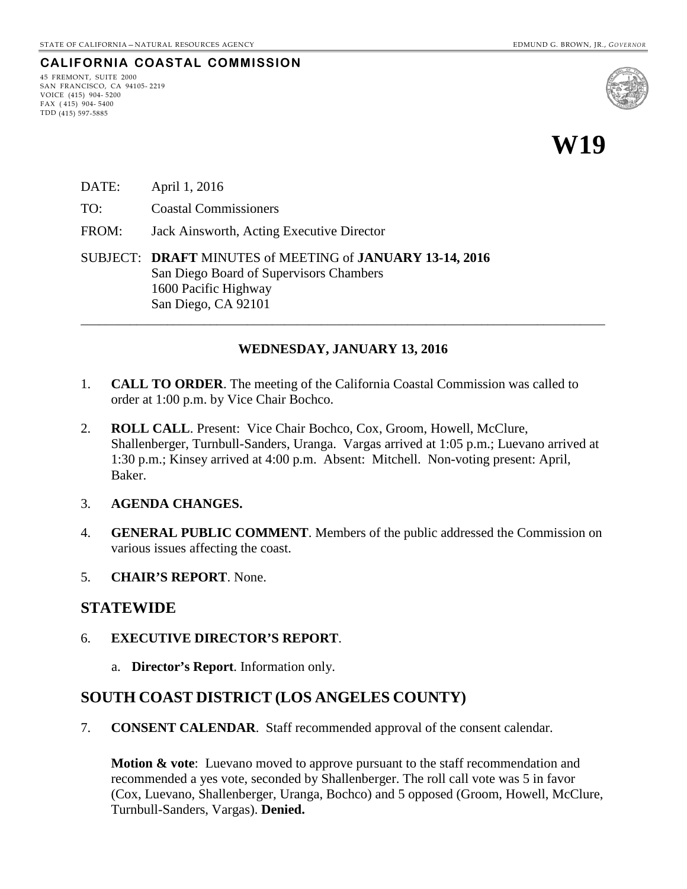## **CALIFORNIA COASTAL COMMISSION**

45 FREMONT, SUITE 2000 SAN FRANCISCO, CA 94105- 2219 VOICE (415) 904- 5200 FAX ( 415) 904- 5400 TDD (415) 597-5885



# **W19**

- DATE: April 1, 2016
- TO: Coastal Commissioners
- FROM: Jack Ainsworth, Acting Executive Director

SUBJECT: **DRAFT** MINUTES of MEETING of **JANUARY 13-14, 2016** San Diego Board of Supervisors Chambers 1600 Pacific Highway San Diego, CA 92101

#### **WEDNESDAY, JANUARY 13, 2016**

\_\_\_\_\_\_\_\_\_\_\_\_\_\_\_\_\_\_\_\_\_\_\_\_\_\_\_\_\_\_\_\_\_\_\_\_\_\_\_\_\_\_\_\_\_\_\_\_\_\_\_\_\_\_\_\_\_\_\_\_\_\_\_\_\_\_\_\_\_\_\_\_\_\_\_\_\_\_\_\_\_\_\_\_\_

- 1. **CALL TO ORDER**. The meeting of the California Coastal Commission was called to order at 1:00 p.m. by Vice Chair Bochco.
- 2. **ROLL CALL**. Present: Vice Chair Bochco, Cox, Groom, Howell, McClure, Shallenberger, Turnbull-Sanders, Uranga. Vargas arrived at 1:05 p.m.; Luevano arrived at 1:30 p.m.; Kinsey arrived at 4:00 p.m. Absent: Mitchell. Non-voting present: April, Baker.

#### 3. **AGENDA CHANGES.**

- 4. **GENERAL PUBLIC COMMENT**. Members of the public addressed the Commission on various issues affecting the coast.
- 5. **CHAIR'S REPORT**. None.

### **STATEWIDE**

- 6. **EXECUTIVE DIRECTOR'S REPORT**.
	- a. **Director's Report**. Information only.

### **SOUTH COAST DISTRICT (LOS ANGELES COUNTY)**

7. **CONSENT CALENDAR**. Staff recommended approval of the consent calendar.

**Motion & vote**: Luevano moved to approve pursuant to the staff recommendation and recommended a yes vote, seconded by Shallenberger. The roll call vote was 5 in favor (Cox, Luevano, Shallenberger, Uranga, Bochco) and 5 opposed (Groom, Howell, McClure, Turnbull-Sanders, Vargas). **Denied.**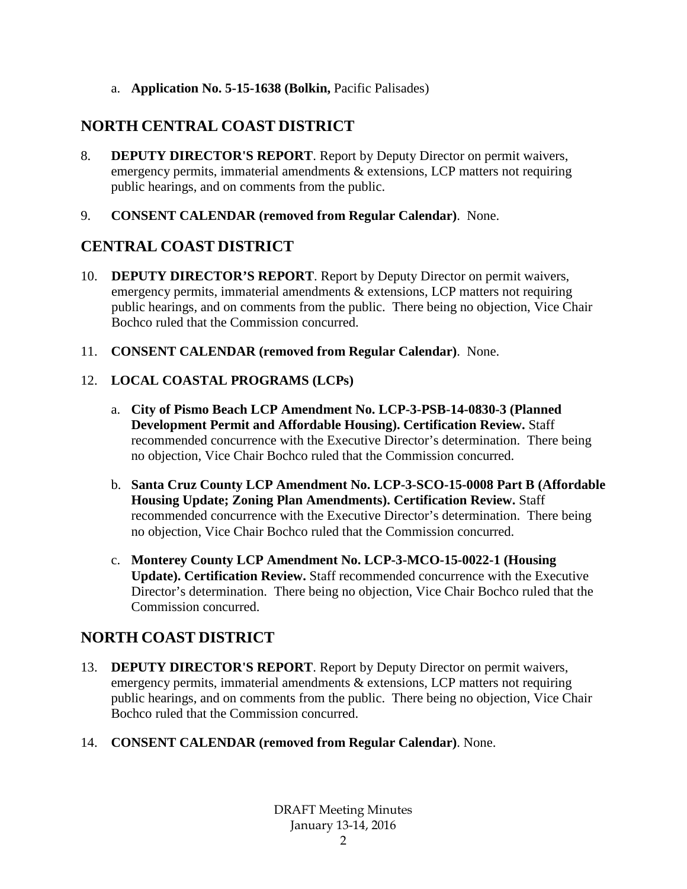a. **Application No. 5-15-1638 (Bolkin,** Pacific Palisades)

# **NORTH CENTRAL COAST DISTRICT**

- 8. **DEPUTY DIRECTOR'S REPORT**. Report by Deputy Director on permit waivers, emergency permits, immaterial amendments & extensions, LCP matters not requiring public hearings, and on comments from the public.
- 9. **CONSENT CALENDAR (removed from Regular Calendar)**. None.

# **CENTRAL COAST DISTRICT**

- 10. **DEPUTY DIRECTOR'S REPORT**. Report by Deputy Director on permit waivers, emergency permits, immaterial amendments & extensions, LCP matters not requiring public hearings, and on comments from the public. There being no objection, Vice Chair Bochco ruled that the Commission concurred.
- 11. **CONSENT CALENDAR (removed from Regular Calendar)**. None.

## 12. **LOCAL COASTAL PROGRAMS (LCPs)**

- a. **City of Pismo Beach LCP Amendment No. LCP-3-PSB-14-0830-3 (Planned Development Permit and Affordable Housing). Certification Review.** Staff recommended concurrence with the Executive Director's determination. There being no objection, Vice Chair Bochco ruled that the Commission concurred.
- b. **Santa Cruz County LCP Amendment No. LCP-3-SCO-15-0008 Part B (Affordable Housing Update; Zoning Plan Amendments). Certification Review.** Staff recommended concurrence with the Executive Director's determination. There being no objection, Vice Chair Bochco ruled that the Commission concurred.
- c. **Monterey County LCP Amendment No. LCP-3-MCO-15-0022-1 (Housing Update). Certification Review.** Staff recommended concurrence with the Executive Director's determination. There being no objection, Vice Chair Bochco ruled that the Commission concurred.

# **NORTH COAST DISTRICT**

- 13. **DEPUTY DIRECTOR'S REPORT**. Report by Deputy Director on permit waivers, emergency permits, immaterial amendments & extensions, LCP matters not requiring public hearings, and on comments from the public. There being no objection, Vice Chair Bochco ruled that the Commission concurred.
- 14. **CONSENT CALENDAR (removed from Regular Calendar)**. None.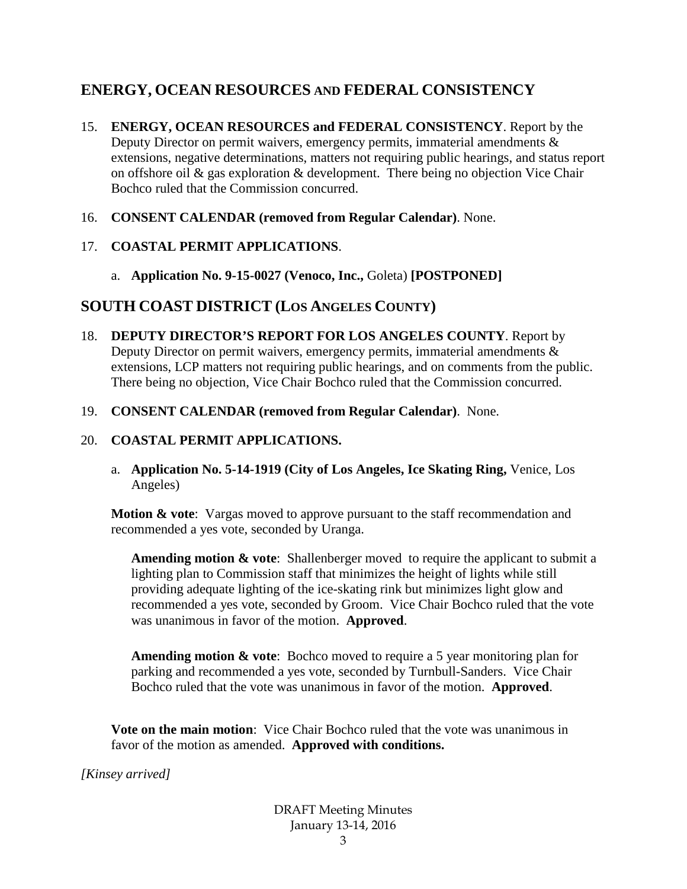# **ENERGY, OCEAN RESOURCES AND FEDERAL CONSISTENCY**

- 15. **ENERGY, OCEAN RESOURCES and FEDERAL CONSISTENCY**. Report by the Deputy Director on permit waivers, emergency permits, immaterial amendments & extensions, negative determinations, matters not requiring public hearings, and status report on offshore oil & gas exploration & development. There being no objection Vice Chair Bochco ruled that the Commission concurred.
- 16. **CONSENT CALENDAR (removed from Regular Calendar)**. None.
- 17. **COASTAL PERMIT APPLICATIONS**.
	- a. **Application No. 9-15-0027 (Venoco, Inc.,** Goleta) **[POSTPONED]**

# **SOUTH COAST DISTRICT (LOS ANGELES COUNTY)**

- 18. **DEPUTY DIRECTOR'S REPORT FOR LOS ANGELES COUNTY**. Report by Deputy Director on permit waivers, emergency permits, immaterial amendments & extensions, LCP matters not requiring public hearings, and on comments from the public. There being no objection, Vice Chair Bochco ruled that the Commission concurred.
- 19. **CONSENT CALENDAR (removed from Regular Calendar)**. None.

## 20. **COASTAL PERMIT APPLICATIONS.**

a. **Application No. 5-14-1919 (City of Los Angeles, Ice Skating Ring,** Venice, Los Angeles)

**Motion & vote:** Vargas moved to approve pursuant to the staff recommendation and recommended a yes vote, seconded by Uranga.

**Amending motion & vote**: Shallenberger moved to require the applicant to submit a lighting plan to Commission staff that minimizes the height of lights while still providing adequate lighting of the ice-skating rink but minimizes light glow and recommended a yes vote, seconded by Groom. Vice Chair Bochco ruled that the vote was unanimous in favor of the motion. **Approved**.

**Amending motion & vote**: Bochco moved to require a 5 year monitoring plan for parking and recommended a yes vote, seconded by Turnbull-Sanders. Vice Chair Bochco ruled that the vote was unanimous in favor of the motion. **Approved**.

**Vote on the main motion**: Vice Chair Bochco ruled that the vote was unanimous in favor of the motion as amended. **Approved with conditions.**

*[Kinsey arrived]*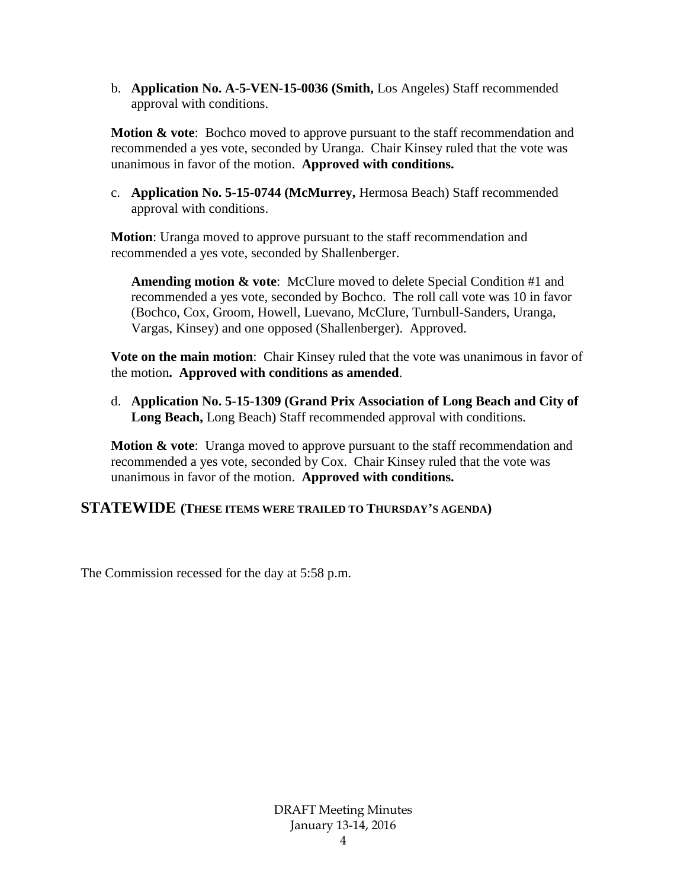b. **Application No. A-5-VEN-15-0036 (Smith,** Los Angeles) Staff recommended approval with conditions.

**Motion & vote:** Bochco moved to approve pursuant to the staff recommendation and recommended a yes vote, seconded by Uranga. Chair Kinsey ruled that the vote was unanimous in favor of the motion. **Approved with conditions.**

c. **Application No. 5-15-0744 (McMurrey,** Hermosa Beach) Staff recommended approval with conditions.

**Motion**: Uranga moved to approve pursuant to the staff recommendation and recommended a yes vote, seconded by Shallenberger.

**Amending motion & vote**: McClure moved to delete Special Condition #1 and recommended a yes vote, seconded by Bochco. The roll call vote was 10 in favor (Bochco, Cox, Groom, Howell, Luevano, McClure, Turnbull-Sanders, Uranga, Vargas, Kinsey) and one opposed (Shallenberger). Approved.

**Vote on the main motion**: Chair Kinsey ruled that the vote was unanimous in favor of the motion**. Approved with conditions as amended**.

d. **Application No. 5-15-1309 (Grand Prix Association of Long Beach and City of Long Beach,** Long Beach) Staff recommended approval with conditions.

**Motion & vote**: Uranga moved to approve pursuant to the staff recommendation and recommended a yes vote, seconded by Cox. Chair Kinsey ruled that the vote was unanimous in favor of the motion. **Approved with conditions.**

### **STATEWIDE (THESE ITEMS WERE TRAILED TO THURSDAY'S AGENDA)**

The Commission recessed for the day at 5:58 p.m.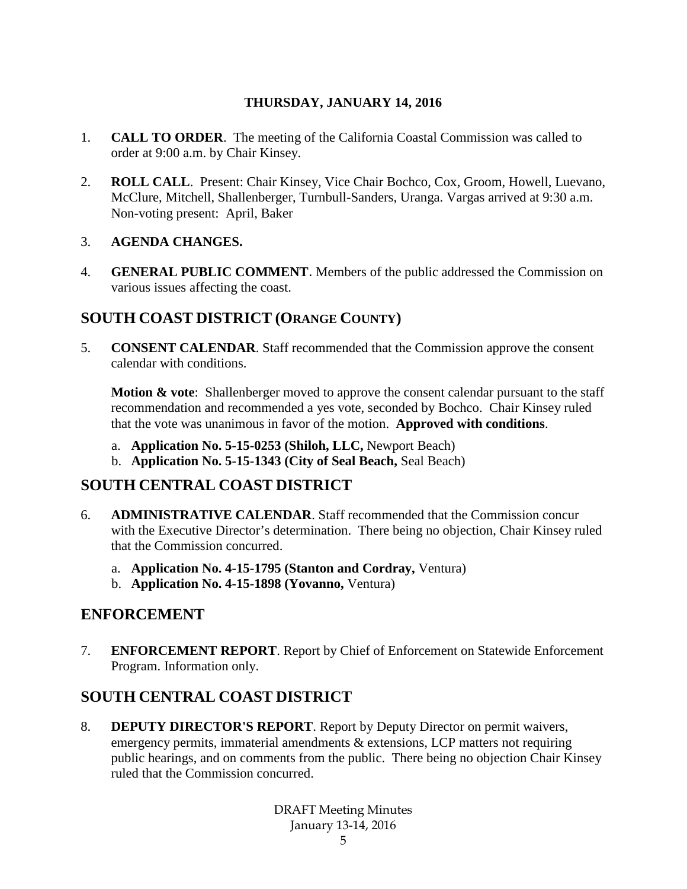## **THURSDAY, JANUARY 14, 2016**

- 1. **CALL TO ORDER**. The meeting of the California Coastal Commission was called to order at 9:00 a.m. by Chair Kinsey.
- 2. **ROLL CALL**. Present: Chair Kinsey, Vice Chair Bochco, Cox, Groom, Howell, Luevano, McClure, Mitchell, Shallenberger, Turnbull-Sanders, Uranga. Vargas arrived at 9:30 a.m. Non-voting present: April, Baker

### 3. **AGENDA CHANGES.**

4. **GENERAL PUBLIC COMMENT**. Members of the public addressed the Commission on various issues affecting the coast.

# **SOUTH COAST DISTRICT (ORANGE COUNTY)**

5. **CONSENT CALENDAR**. Staff recommended that the Commission approve the consent calendar with conditions.

**Motion & vote:** Shallenberger moved to approve the consent calendar pursuant to the staff recommendation and recommended a yes vote, seconded by Bochco. Chair Kinsey ruled that the vote was unanimous in favor of the motion. **Approved with conditions**.

- a. **Application No. 5-15-0253 (Shiloh, LLC,** Newport Beach)
- b. **Application No. 5-15-1343 (City of Seal Beach,** Seal Beach)

# **SOUTH CENTRAL COAST DISTRICT**

- 6. **ADMINISTRATIVE CALENDAR**. Staff recommended that the Commission concur with the Executive Director's determination. There being no objection, Chair Kinsey ruled that the Commission concurred.
	- a. **Application No. 4-15-1795 (Stanton and Cordray,** Ventura)
	- b. **Application No. 4-15-1898 (Yovanno,** Ventura)

## **ENFORCEMENT**

7. **ENFORCEMENT REPORT**. Report by Chief of Enforcement on Statewide Enforcement Program. Information only.

# **SOUTH CENTRAL COAST DISTRICT**

8. **DEPUTY DIRECTOR'S REPORT**. Report by Deputy Director on permit waivers, emergency permits, immaterial amendments & extensions, LCP matters not requiring public hearings, and on comments from the public. There being no objection Chair Kinsey ruled that the Commission concurred.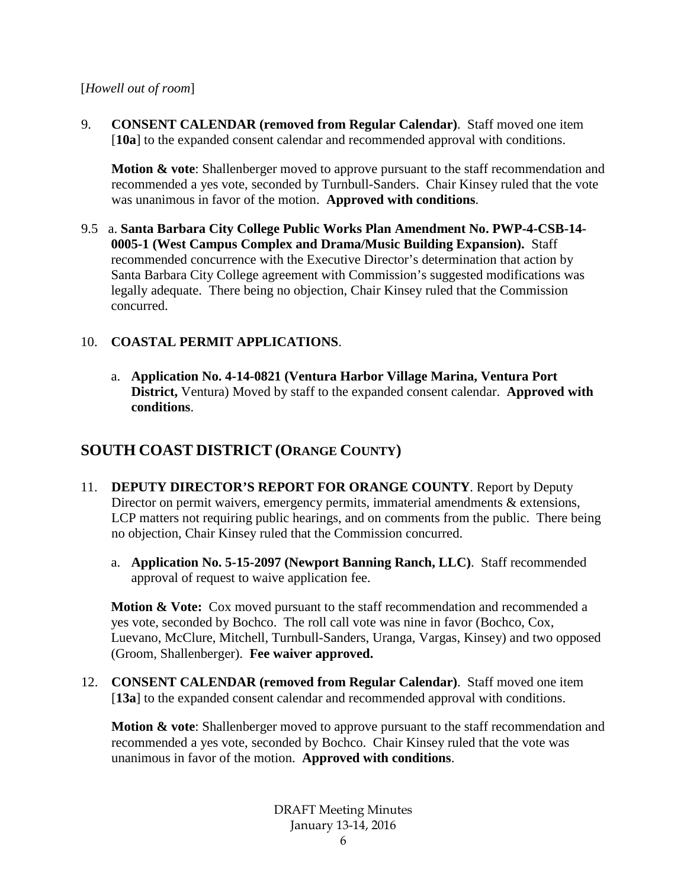#### [*Howell out of room*]

9. **CONSENT CALENDAR (removed from Regular Calendar)**. Staff moved one item [**10a**] to the expanded consent calendar and recommended approval with conditions.

**Motion & vote**: Shallenberger moved to approve pursuant to the staff recommendation and recommended a yes vote, seconded by Turnbull-Sanders. Chair Kinsey ruled that the vote was unanimous in favor of the motion. **Approved with conditions**.

9.5 a. **Santa Barbara City College Public Works Plan Amendment No. PWP-4-CSB-14- 0005-1 (West Campus Complex and Drama/Music Building Expansion).** Staff recommended concurrence with the Executive Director's determination that action by Santa Barbara City College agreement with Commission's suggested modifications was legally adequate. There being no objection, Chair Kinsey ruled that the Commission concurred.

### 10. **COASTAL PERMIT APPLICATIONS**.

a. **Application No. 4-14-0821 (Ventura Harbor Village Marina, Ventura Port District,** Ventura) Moved by staff to the expanded consent calendar. **Approved with conditions**.

# **SOUTH COAST DISTRICT (ORANGE COUNTY)**

- 11. **DEPUTY DIRECTOR'S REPORT FOR ORANGE COUNTY**. Report by Deputy Director on permit waivers, emergency permits, immaterial amendments & extensions, LCP matters not requiring public hearings, and on comments from the public. There being no objection, Chair Kinsey ruled that the Commission concurred.
	- a. **Application No. 5-15-2097 (Newport Banning Ranch, LLC)**. Staff recommended approval of request to waive application fee.

**Motion & Vote:** Cox moved pursuant to the staff recommendation and recommended a yes vote, seconded by Bochco. The roll call vote was nine in favor (Bochco, Cox, Luevano, McClure, Mitchell, Turnbull-Sanders, Uranga, Vargas, Kinsey) and two opposed (Groom, Shallenberger). **Fee waiver approved.**

12. **CONSENT CALENDAR (removed from Regular Calendar)**. Staff moved one item [13a] to the expanded consent calendar and recommended approval with conditions.

**Motion & vote**: Shallenberger moved to approve pursuant to the staff recommendation and recommended a yes vote, seconded by Bochco. Chair Kinsey ruled that the vote was unanimous in favor of the motion. **Approved with conditions**.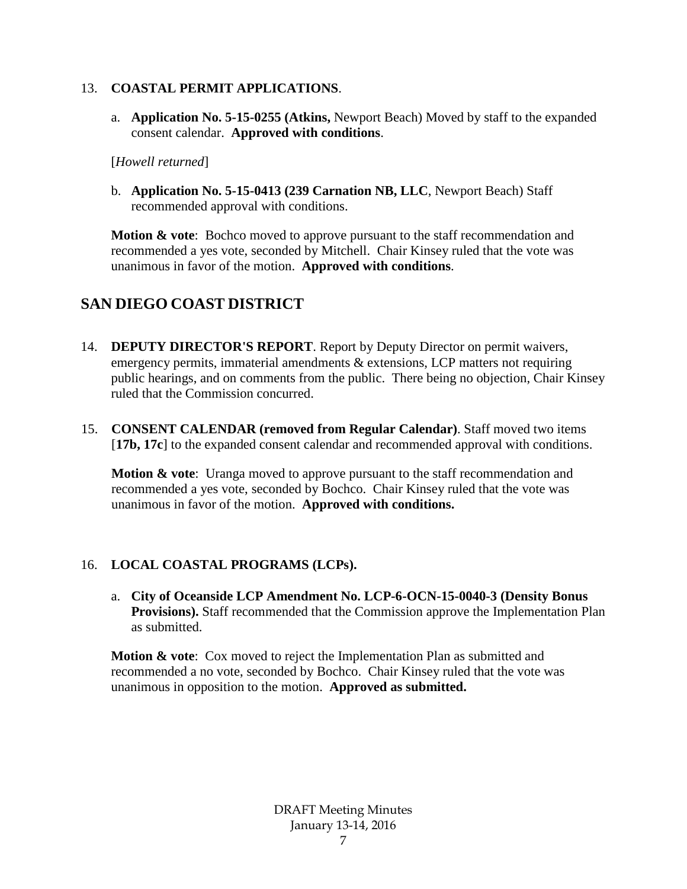#### 13. **COASTAL PERMIT APPLICATIONS**.

a. **Application No. 5-15-0255 (Atkins,** Newport Beach) Moved by staff to the expanded consent calendar. **Approved with conditions**.

[*Howell returned*]

b. **Application No. 5-15-0413 (239 Carnation NB, LLC**, Newport Beach) Staff recommended approval with conditions.

**Motion & vote:** Bochco moved to approve pursuant to the staff recommendation and recommended a yes vote, seconded by Mitchell. Chair Kinsey ruled that the vote was unanimous in favor of the motion. **Approved with conditions**.

# **SAN DIEGO COAST DISTRICT**

- 14. **DEPUTY DIRECTOR'S REPORT**. Report by Deputy Director on permit waivers, emergency permits, immaterial amendments & extensions, LCP matters not requiring public hearings, and on comments from the public. There being no objection, Chair Kinsey ruled that the Commission concurred.
- 15. **CONSENT CALENDAR (removed from Regular Calendar)**. Staff moved two items [17b, 17c] to the expanded consent calendar and recommended approval with conditions.

**Motion & vote**: Uranga moved to approve pursuant to the staff recommendation and recommended a yes vote, seconded by Bochco. Chair Kinsey ruled that the vote was unanimous in favor of the motion. **Approved with conditions.**

## 16. **LOCAL COASTAL PROGRAMS (LCPs).**

a. **City of Oceanside LCP Amendment No. LCP-6-OCN-15-0040-3 (Density Bonus Provisions).** Staff recommended that the Commission approve the Implementation Plan as submitted.

**Motion & vote**: Cox moved to reject the Implementation Plan as submitted and recommended a no vote, seconded by Bochco. Chair Kinsey ruled that the vote was unanimous in opposition to the motion. **Approved as submitted.**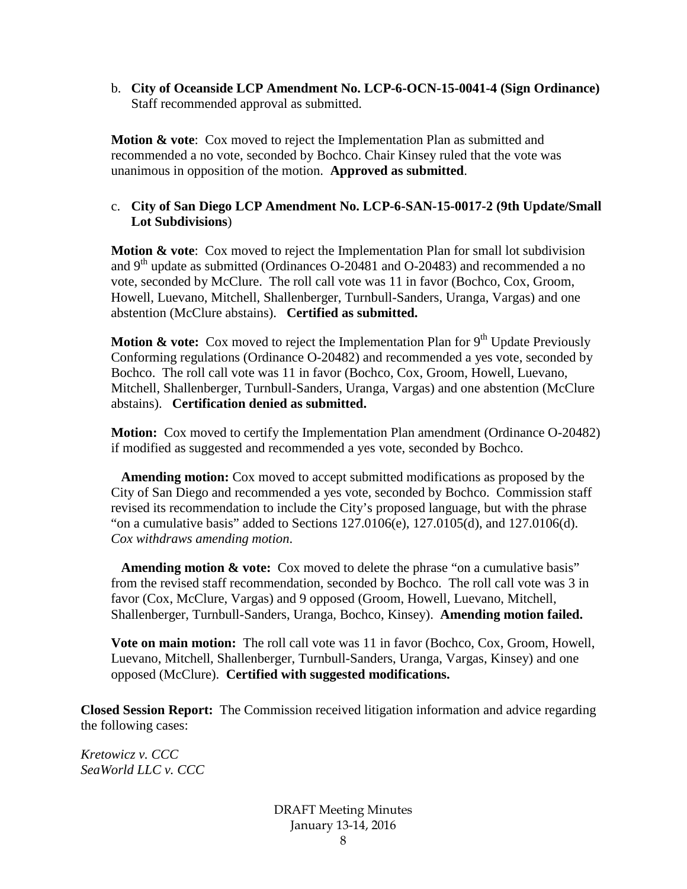b. **City of Oceanside LCP Amendment No. LCP-6-OCN-15-0041-4 (Sign Ordinance)**  Staff recommended approval as submitted.

**Motion & vote:** Cox moved to reject the Implementation Plan as submitted and recommended a no vote, seconded by Bochco. Chair Kinsey ruled that the vote was unanimous in opposition of the motion. **Approved as submitted**.

## c. **City of San Diego LCP Amendment No. LCP-6-SAN-15-0017-2 (9th Update/Small Lot Subdivisions**)

**Motion & vote**: Cox moved to reject the Implementation Plan for small lot subdivision and  $9<sup>th</sup>$  update as submitted (Ordinances O-20481 and O-20483) and recommended a no vote, seconded by McClure. The roll call vote was 11 in favor (Bochco, Cox, Groom, Howell, Luevano, Mitchell, Shallenberger, Turnbull-Sanders, Uranga, Vargas) and one abstention (McClure abstains). **Certified as submitted.**

**Motion & vote:** Cox moved to reject the Implementation Plan for 9<sup>th</sup> Update Previously Conforming regulations (Ordinance O-20482) and recommended a yes vote, seconded by Bochco. The roll call vote was 11 in favor (Bochco, Cox, Groom, Howell, Luevano, Mitchell, Shallenberger, Turnbull-Sanders, Uranga, Vargas) and one abstention (McClure abstains). **Certification denied as submitted.**

**Motion:** Cox moved to certify the Implementation Plan amendment (Ordinance O-20482) if modified as suggested and recommended a yes vote, seconded by Bochco.

 **Amending motion:** Cox moved to accept submitted modifications as proposed by the City of San Diego and recommended a yes vote, seconded by Bochco. Commission staff revised its recommendation to include the City's proposed language, but with the phrase "on a cumulative basis" added to Sections 127.0106(e), 127.0105(d), and 127.0106(d). *Cox withdraws amending motion*.

**Amending motion & vote:** Cox moved to delete the phrase "on a cumulative basis" from the revised staff recommendation, seconded by Bochco. The roll call vote was 3 in favor (Cox, McClure, Vargas) and 9 opposed (Groom, Howell, Luevano, Mitchell, Shallenberger, Turnbull-Sanders, Uranga, Bochco, Kinsey). **Amending motion failed.**

**Vote on main motion:** The roll call vote was 11 in favor (Bochco, Cox, Groom, Howell, Luevano, Mitchell, Shallenberger, Turnbull-Sanders, Uranga, Vargas, Kinsey) and one opposed (McClure). **Certified with suggested modifications.**

**Closed Session Report:** The Commission received litigation information and advice regarding the following cases:

*Kretowicz v. CCC SeaWorld LLC v. CCC*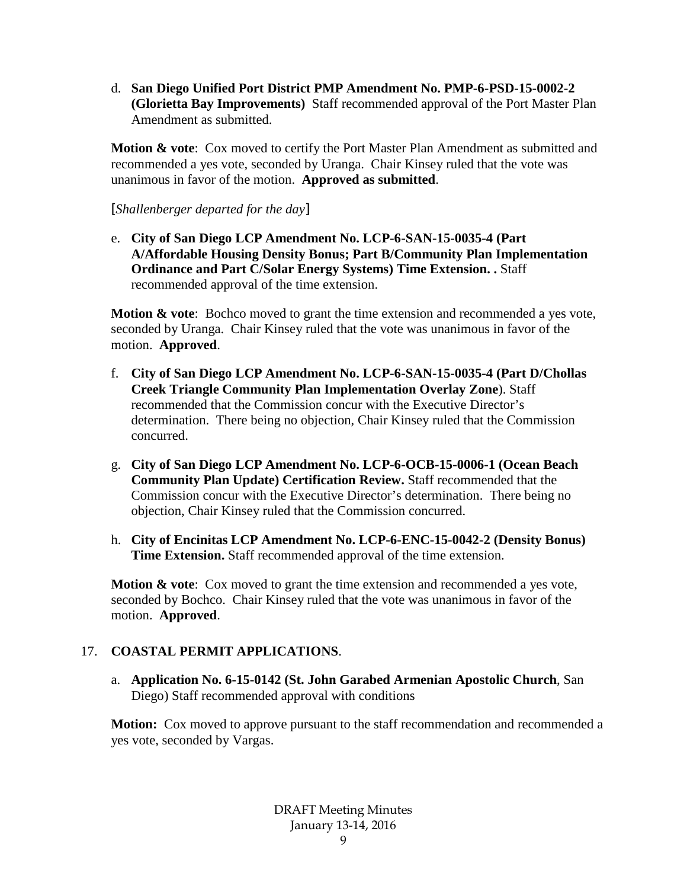d. **San Diego Unified Port District PMP Amendment No. PMP-6-PSD-15-0002-2 (Glorietta Bay Improvements)** Staff recommended approval of the Port Master Plan Amendment as submitted.

**Motion & vote**: Cox moved to certify the Port Master Plan Amendment as submitted and recommended a yes vote, seconded by Uranga. Chair Kinsey ruled that the vote was unanimous in favor of the motion. **Approved as submitted**.

[*Shallenberger departed for the day*]

e. **City of San Diego LCP Amendment No. LCP-6-SAN-15-0035-4 (Part A/Affordable Housing Density Bonus; Part B/Community Plan Implementation Ordinance and Part C/Solar Energy Systems) Time Extension. .** Staff recommended approval of the time extension.

**Motion & vote**: Bochco moved to grant the time extension and recommended a yes vote, seconded by Uranga. Chair Kinsey ruled that the vote was unanimous in favor of the motion. **Approved**.

- f. **City of San Diego LCP Amendment No. LCP-6-SAN-15-0035-4 (Part D/Chollas Creek Triangle Community Plan Implementation Overlay Zone**). Staff recommended that the Commission concur with the Executive Director's determination. There being no objection, Chair Kinsey ruled that the Commission concurred.
- g. **City of San Diego LCP Amendment No. LCP-6-OCB-15-0006-1 (Ocean Beach Community Plan Update) Certification Review.** Staff recommended that the Commission concur with the Executive Director's determination. There being no objection, Chair Kinsey ruled that the Commission concurred.
- h. **City of Encinitas LCP Amendment No. LCP-6-ENC-15-0042-2 (Density Bonus) Time Extension.** Staff recommended approval of the time extension.

**Motion & vote:** Cox moved to grant the time extension and recommended a yes vote, seconded by Bochco. Chair Kinsey ruled that the vote was unanimous in favor of the motion. **Approved**.

## 17. **COASTAL PERMIT APPLICATIONS**.

a. **Application No. 6-15-0142 (St. John Garabed Armenian Apostolic Church**, San Diego) Staff recommended approval with conditions

**Motion:** Cox moved to approve pursuant to the staff recommendation and recommended a yes vote, seconded by Vargas.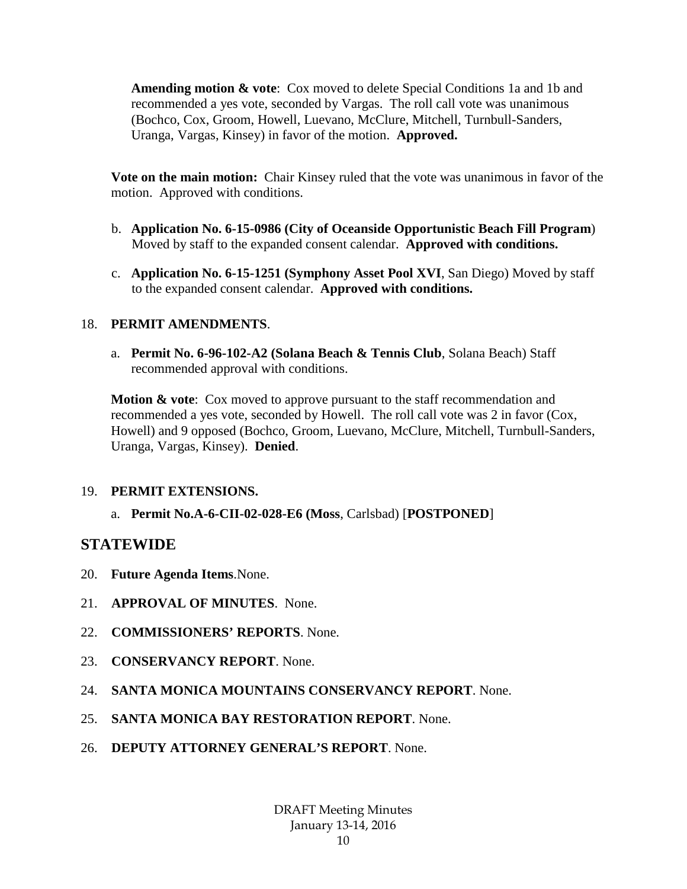**Amending motion & vote**: Cox moved to delete Special Conditions 1a and 1b and recommended a yes vote, seconded by Vargas. The roll call vote was unanimous (Bochco, Cox, Groom, Howell, Luevano, McClure, Mitchell, Turnbull-Sanders, Uranga, Vargas, Kinsey) in favor of the motion. **Approved.**

**Vote on the main motion:** Chair Kinsey ruled that the vote was unanimous in favor of the motion. Approved with conditions.

- b. **Application No. 6-15-0986 (City of Oceanside Opportunistic Beach Fill Program**) Moved by staff to the expanded consent calendar. **Approved with conditions.**
- c. **Application No. 6-15-1251 (Symphony Asset Pool XVI**, San Diego) Moved by staff to the expanded consent calendar. **Approved with conditions.**

## 18. **PERMIT AMENDMENTS**.

a. **Permit No. 6-96-102-A2 (Solana Beach & Tennis Club**, Solana Beach) Staff recommended approval with conditions.

**Motion & vote**: Cox moved to approve pursuant to the staff recommendation and recommended a yes vote, seconded by Howell. The roll call vote was 2 in favor (Cox, Howell) and 9 opposed (Bochco, Groom, Luevano, McClure, Mitchell, Turnbull-Sanders, Uranga, Vargas, Kinsey). **Denied**.

### 19. **PERMIT EXTENSIONS.**

a. **Permit No.A-6-CII-02-028-E6 (Moss**, Carlsbad) [**POSTPONED**]

# **STATEWIDE**

- 20. **Future Agenda Items**.None.
- 21. **APPROVAL OF MINUTES**. None.
- 22. **COMMISSIONERS' REPORTS**. None.
- 23. **CONSERVANCY REPORT**. None.
- 24. **SANTA MONICA MOUNTAINS CONSERVANCY REPORT**. None.
- 25. **SANTA MONICA BAY RESTORATION REPORT**. None.
- 26. **DEPUTY ATTORNEY GENERAL'S REPORT**. None.